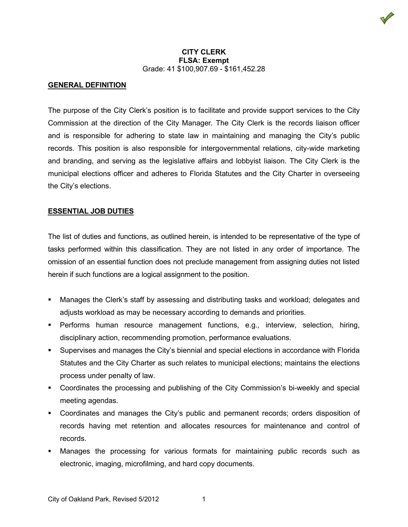# **GENERAL DEFINITION**

The purpose of the City Clerk's position is to facilitate and provide support services to the City Commission at the direction of the City Manager. The City Clerk is the records liaison officer and is responsible for adhering to state law in maintaining and managing the City's public records. This position is also responsible for intergovernmental relations, city-wide marketing and branding, and serving as the legislative affairs and lobbyist liaison. The City Clerk is the municipal elections officer and adheres to Florida Statutes and the City Charter in overseeing the City's elections.

# **ESSENTIAL JOB DUTIES**

The list of duties and functions, as outlined herein, is intended to be representative of the type of tasks performed within this classification. They are not listed in any order of importance. The omission of an essential function does not preclude management from assigning duties not listed herein if such functions are a logical assignment to the position.

- Manages the Clerk's staff by assessing and distributing tasks and workload; delegates and adjusts workload as may be necessary according to demands and priorities.
- Performs human resource management functions, e.g., interview, selection, hiring, disciplinary action, recommending promotion, performance evaluations.
- Supervises and manages the City's biennial and special elections in accordance with Florida Statutes and the City Charter as such relates to municipal elections; maintains the elections process under penalty of law.
- Coordinates the processing and publishing of the City Commission's bi-weekly and special meeting agendas.
- Coordinates and manages the City's public and permanent records; orders disposition of records having met retention and allocates resources for maintenance and control of records.
- Manages the processing for various formats for maintaining public records such as electronic, imaging, microfilming, and hard copy documents.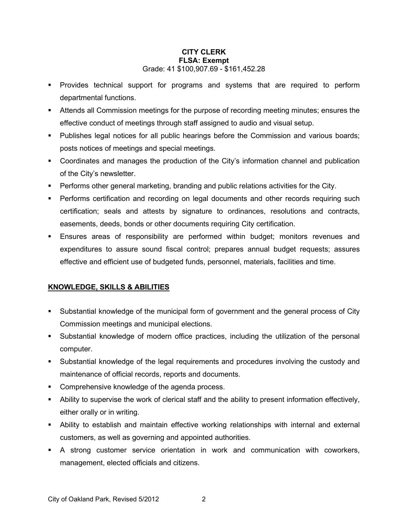- Provides technical support for programs and systems that are required to perform departmental functions.
- Attends all Commission meetings for the purpose of recording meeting minutes; ensures the effective conduct of meetings through staff assigned to audio and visual setup.
- Publishes legal notices for all public hearings before the Commission and various boards; posts notices of meetings and special meetings.
- Coordinates and manages the production of the City's information channel and publication of the City's newsletter.
- Performs other general marketing, branding and public relations activities for the City.
- Performs certification and recording on legal documents and other records requiring such certification; seals and attests by signature to ordinances, resolutions and contracts, easements, deeds, bonds or other documents requiring City certification.
- Ensures areas of responsibility are performed within budget; monitors revenues and expenditures to assure sound fiscal control; prepares annual budget requests; assures effective and efficient use of budgeted funds, personnel, materials, facilities and time.

# **KNOWLEDGE, SKILLS & ABILITIES**

- Substantial knowledge of the municipal form of government and the general process of City Commission meetings and municipal elections.
- Substantial knowledge of modern office practices, including the utilization of the personal computer.
- Substantial knowledge of the legal requirements and procedures involving the custody and maintenance of official records, reports and documents.
- **Comprehensive knowledge of the agenda process.**
- Ability to supervise the work of clerical staff and the ability to present information effectively, either orally or in writing.
- Ability to establish and maintain effective working relationships with internal and external customers, as well as governing and appointed authorities.
- A strong customer service orientation in work and communication with coworkers, management, elected officials and citizens.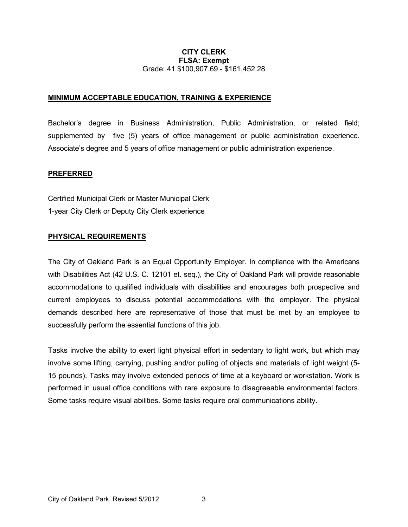## **MINIMUM ACCEPTABLE EDUCATION, TRAINING & EXPERIENCE**

Bachelor's degree in Business Administration, Public Administration, or related field; supplemented by five (5) years of office management or public administration experience. Associate's degree and 5 years of office management or public administration experience.

### **PREFERRED**

Certified Municipal Clerk or Master Municipal Clerk 1-year City Clerk or Deputy City Clerk experience

### **PHYSICAL REQUIREMENTS**

The City of Oakland Park is an Equal Opportunity Employer. In compliance with the Americans with Disabilities Act (42 U.S. C. 12101 et. seq.), the City of Oakland Park will provide reasonable accommodations to qualified individuals with disabilities and encourages both prospective and current employees to discuss potential accommodations with the employer. The physical demands described here are representative of those that must be met by an employee to successfully perform the essential functions of this job.

Tasks involve the ability to exert light physical effort in sedentary to light work, but which may involve some lifting, carrying, pushing and/or pulling of objects and materials of light weight (5- 15 pounds). Tasks may involve extended periods of time at a keyboard or workstation. Work is performed in usual office conditions with rare exposure to disagreeable environmental factors. Some tasks require visual abilities. Some tasks require oral communications ability.